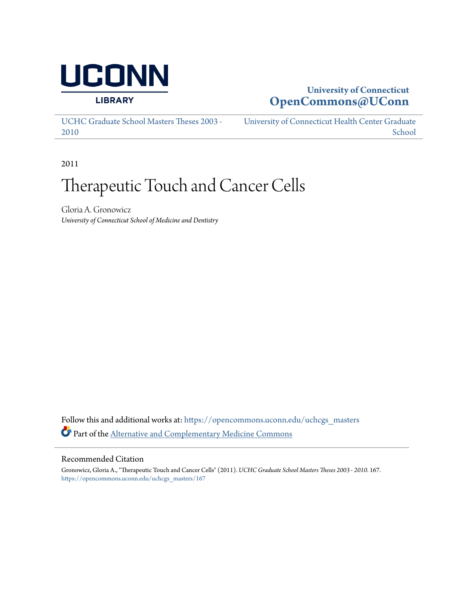

# **University of Connecticut [OpenCommons@UConn](https://opencommons.uconn.edu?utm_source=opencommons.uconn.edu%2Fuchcgs_masters%2F167&utm_medium=PDF&utm_campaign=PDFCoverPages)**

[UCHC Graduate School Masters Theses 2003 -](https://opencommons.uconn.edu/uchcgs_masters?utm_source=opencommons.uconn.edu%2Fuchcgs_masters%2F167&utm_medium=PDF&utm_campaign=PDFCoverPages) [2010](https://opencommons.uconn.edu/uchcgs_masters?utm_source=opencommons.uconn.edu%2Fuchcgs_masters%2F167&utm_medium=PDF&utm_campaign=PDFCoverPages)

[University of Connecticut Health Center Graduate](https://opencommons.uconn.edu/uchcgs?utm_source=opencommons.uconn.edu%2Fuchcgs_masters%2F167&utm_medium=PDF&utm_campaign=PDFCoverPages) [School](https://opencommons.uconn.edu/uchcgs?utm_source=opencommons.uconn.edu%2Fuchcgs_masters%2F167&utm_medium=PDF&utm_campaign=PDFCoverPages)

2011

# Therapeutic Touch and Cancer Cells

Gloria A. Gronowicz *University of Connecticut School of Medicine and Dentistry*

Follow this and additional works at: [https://opencommons.uconn.edu/uchcgs\\_masters](https://opencommons.uconn.edu/uchcgs_masters?utm_source=opencommons.uconn.edu%2Fuchcgs_masters%2F167&utm_medium=PDF&utm_campaign=PDFCoverPages) Part of the [Alternative and Complementary Medicine Commons](http://network.bepress.com/hgg/discipline/649?utm_source=opencommons.uconn.edu%2Fuchcgs_masters%2F167&utm_medium=PDF&utm_campaign=PDFCoverPages)

## Recommended Citation

Gronowicz, Gloria A., "Therapeutic Touch and Cancer Cells" (2011). *UCHC Graduate School Masters Theses 2003 - 2010*. 167. [https://opencommons.uconn.edu/uchcgs\\_masters/167](https://opencommons.uconn.edu/uchcgs_masters/167?utm_source=opencommons.uconn.edu%2Fuchcgs_masters%2F167&utm_medium=PDF&utm_campaign=PDFCoverPages)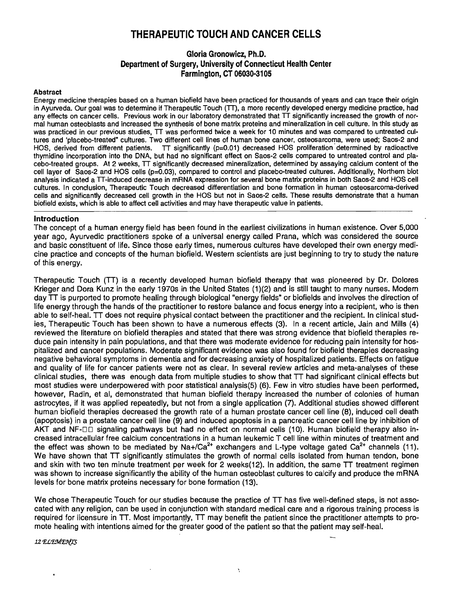# **THERAPEUTIC TOUCH AND CANCER CELLS**

## **Gloria Gronowicz, Ph.D. Department of Surgery, University of Connecticut Health Center Farmington, CT 06030-3105**

#### **Abstract**

Energy medicine therapies based on a human biofield have been practiced for thousands of years and can trace their origin in Ayurveda. Our goal was to determine if Therapeutic Touch (TT), a more recently developed energy medicine practice, had any effects on cancer cells. Previous work in our laboratory demonstrated that TT significantly increased the growth of normal human osteoblasts and increased the synthesis of bone matrix proteins and mineralization in cell culture. In this study as was practiced in our previous studies, TT was performed twice a week for 10 minutes and was compared to untreated cultures and 'placebo-treated" cultures. Two different cell lines of human bone cancer, osteosarcoma, were used; Saos-2 and HOS, derived from different patients.  $TT$  significantly ( $p=0.01$ ) decreased HOS proliferation determined by radioactive thymidine incorporation into the DNA, but had no significant effect on Saos-2 cells compared to untreated control and placebo-treated groups. At 2 weeks, TT significantly decreased mineralization, determined by assaying calcium content of the cell layer of Saos-2 and HOS cells (p=O.03), compared to control and placebo-treated cultures. Additionally, Northem blot analysis indicated a TT-induced decrease in mRNA expression for several bone matrix proteins in both Saos-2 and HOS cell cultures. In conclusion, Therapeutic Touch decreased differentiation and bone formation in human osteosarcoma-derived cells and significantly decreased cell growth in the HOS but not in Saos-2 cells. These results demonstrate that a human biofield exists, which is able to affect cell activities and may have therapeutic value in patients.

#### **Introduction**

The concept of a human energy field has been found in the earliest civilizations in human existence. Over 5,000 year ago, Ayurvedic practitioners spoke of a universal energy called Prana, which was considered the source and basic constituent of life. Since those early times, numerous cultures have developed their own energy medicine practice and concepts of the human biofield. Western scientists are just beginning to try to study the nature of this energy.

Therapeutic Touch (TT) is a recently developed human biofield therapy that was pioneered by Dr. Dolores Krieger and Dora Kunz in the early 1970s in the United States (1 )(2) and is still taught to many nurses. Modern day TT is purported to promote healing through biological "energy fields· or biofields and involves the direction of life energy through the hands of the practitioner to restore balance and focus energy into a recipient, who is then able to self-heal. TT does not require physical contact between the practitioner and the recipient. In clinical studies, Therapeutic Touch has been shown to have a numerous effects (3). In a recent article, Jain and Mills (4) reviewed the literature on biofield therapies and stated that there was strong evidence that biofield therapies reduce pain intensity in pain populations, and that there was moderate evidence for reducing pain intensity for hospitalized and cancer populations. Moderate significant evidence was also found for biofield therapies decreasing negative behavioral symptoms in dementia and for decreasing anxiety of hospitalized patients. Effects on fatigue and quality of life for cancer patients were not as clear. In several review articles and meta-analyses of these clinical studies, there was enough data from multiple studies to show that TT had significant clinical effects but most studies were underpowered with poor statistical analysis(5) (6). Few in vitro studies have been performed, however, Radin, et ai, demonstrated that human biofield therapy increased the number of colonies of human astrocytes, if it was applied repeatedly, but not from a single application (7). Additional studies showed different human biofield therapies decreased the growth rate of a human prostate cancer cell line (8), induced cell death (apoptosis) in a prostate cancer cell line (9) and induced apoptosis in a pancreatic cancer cell line by inhibition of AKT and NF-DD signaling pathways but had no effect on normal cells (10). Human biofield therapy also increased intracellular free calcium concentrations in a human leukemic T cell line within minutes of treatment and the effect was shown to be mediated by Na+/Ca<sup>2+</sup> exchangers and L-type voltage gated Ca<sup>2+</sup> channels (11). We have shown that TT significantly stimulates the growth of normal cells isolated from human tendon, bone and skin with two ten minute treatment per week for 2 weeks(12). In addition, the same TT treatment regimen was shown to increase significantly the ability of the human osteoblast cultures to calcify and produce the mRNA levels for bone matrix proteins necessary for bone formation (13).

We chose Therapeutic Touch for our studies because the practice of TT has five well-defined steps, is not assocated with any religion, can be used in conjunction with standard medical care and a rigorous training process is required for licensure in TT. Most importantly, TT may benefit the patient since the practitioner attempts to promote healing with intentions aimed for the greater good of the patient so that the patient may self-heal.

 $\lambda$ 

12 ELEMENTS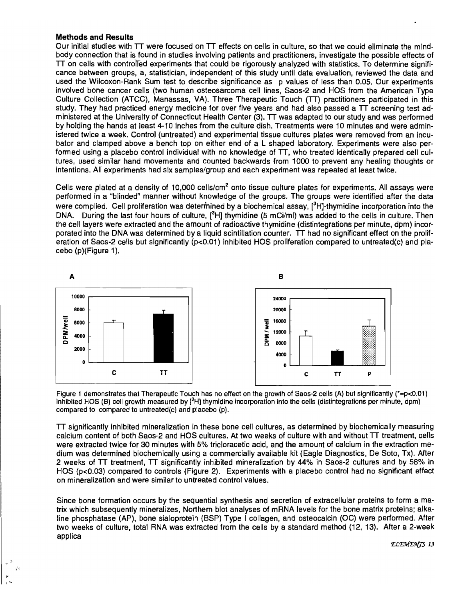### **Methods and Results**

Our initial studies with TT were focused on TT effects on cells in culture, so that we could eliminate the mindbody connection that is found in studies involving patients and practitioners, investigate the possible effects of  $TT$  on cells with controlled experiments that could be rigorously analyzed with statistics. To determine significance between groups, a, statistician, independent of this study until data evaluation, reviewed the data and used the Wilcoxon-Rank Sum test to describe significance as p values of less than 0.05. Our experiments involved bone cancer cells (two human osteosarcoma cell lines, Saos-2 and HOS from the American Type Culture Collection (ATCC), Manassas, VA). Three Therapeutic Touch (TT) practitioners participated in this study. They had practiced energy medicine for over five years and had also passed a TT screening test administered at the University of Connecticut Health Center (3). TT was adapted to our study and was performed by holding the hands at least 4-10 inches from the culture dish. Treatments were 10 minutes and were administered twice a week. Control (untreated) and experimental tissue cultures plates were removed from an incubator and clamped above a bench top on either end of a L shaped laboratory. Experiments were also performed using a placebo control individual with no knowledge of TT, who treated identically prepared cell cultures, used similar hand movements and counted backwards from 1000 to prevent any healing thoughts or intentions. All experiments had six samples/group and each experiment was repeated at least twice.

Cells were plated at a density of 10,000 cells/cm<sup>2</sup> onto tissue culture plates for experiments. All assays were performed in a "blinded" manner without knowledge of the groups. The groups were identified after the data were complied. Cell proliferation was determined by a biochemical assay,  $[{}^3H]$ -thymidine incorporation into the DNA. During the last four hours of culture,  $\binom{3}{1}$  thymidine (5 mCi/ml) was added to the cells in culture. Then the cell layers were extracted and the amount of radioactive thymidine (distintegrations per minute, dpm) incorporated into the DNA was determined by a liquid scintillation counter. TT had no significant effect on the proliferation of Saos-2 cells but significantly (p<0.01) inhibited HOS proliferation compared to untreated(c) and placebo (p)(Figure 1).



Figure 1 demonstrates that Therapeutic Touch has no effect on the growth of Saos-2 cells (A) but significantly (\*=p<O.01) inhibited HOS (B) cell growth measured by  $[{}^{3}H]$  thymidine incorporation into the cells (distintegrations per minute, dpm) compared to compared to untreated(c) and placebo (p).

TT significantly inhibited mineralization in these bone cell cultures, as determined by biochemically measuring calcium content of both Saos-2 and HOS cultures. At two weeks of culture with and without TT treatment, cells were extracted twice for 30 minutes with 5% tricloracetic acid, and the amount of calcium in the extraction medium was determined biochemically using a commercially available kit (Eagle Diagnostics, De Soto, Tx). After 2 weeks of TT treatment, TT significantly inhibited mineralization by 44% in Saos-2 cultures and by 58% in HOS (p<0.03) compared to controls (Figure 2). Experiments with a placebo control had no significant effect on mineralization and were similar to untreated control values.

Since bone formation occurs by the sequential synthesis and secretion of extracellular proteins to form a matrix which subsequently mineralizes, Northern blot analyses of mRNA levels for the bone matrix proteins; alkaline phosphatase (AP), bone sialoprotein (BSP) Type I collagen, and osteocalcin (OC) were performed. After two weeks of culture, total RNA was extracted from the cells by a standard method (12, 13). After a 2-week applica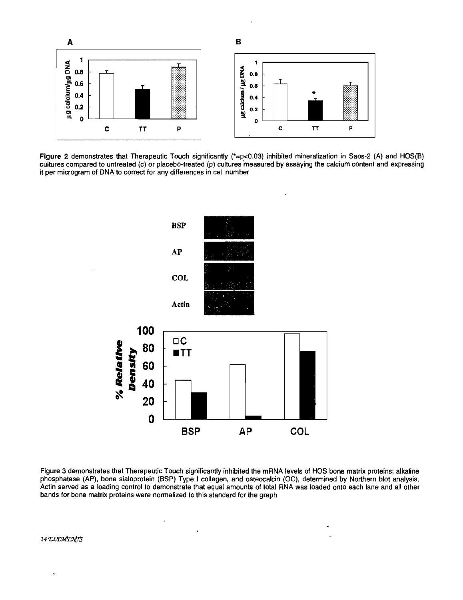

Figure 2 demonstrates that Therapeutic Touch significantly (\*=p<0.03) inhibited mineralization in Saos-2 (A) and HOS(B) cultures compared to untreated (c) or placebo-treated (p) cultures 'measured by assaying the calcium content and expressing it per microgram of DNA to correct for any differences in cell number



Figure 3 demonstrates that Therapeutic Touch significantly inhibited the mRNA levels of HOS bone matrix proteins; alkaline phosphatase (AP), bone sialoprotein (BSP) Type I collagen, and osteocalcin (OC), determined by Northern blot analysis. Actin served as a loading control to demonstrate that equal amounts of total RNA was loaded onto each lane and all other bands for bone matrix proteins were normalized to this standard for the graph